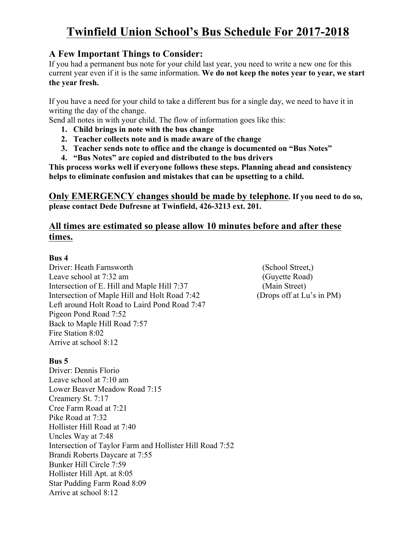# **Twinfield Union School's Bus Schedule For 2017-2018**

### **A Few Important Things to Consider:**

If you had a permanent bus note for your child last year, you need to write a new one for this current year even if it is the same information. **We do not keep the notes year to year, we start the year fresh.** 

If you have a need for your child to take a different bus for a single day, we need to have it in writing the day of the change.

Send all notes in with your child. The flow of information goes like this:

- **1. Child brings in note with the bus change**
- **2. Teacher collects note and is made aware of the change**
- **3. Teacher sends note to office and the change is documented on "Bus Notes"**
- **4. "Bus Notes" are copied and distributed to the bus drivers**

**This process works well if everyone follows these steps. Planning ahead and consistency helps to eliminate confusion and mistakes that can be upsetting to a child.** 

**Only EMERGENCY changes should be made by telephone. If you need to do so, please contact Dede Dufresne at Twinfield, 426-3213 ext. 201.**

## **All times are estimated so please allow 10 minutes before and after these times.**

### **Bus 4**

Driver: Heath Farnsworth (School Street,) Leave school at 7:32 am (Guyette Road) Intersection of E. Hill and Maple Hill 7:37 (Main Street) Intersection of Maple Hill and Holt Road 7:42 (Drops off at Lu's in PM) Left around Holt Road to Laird Pond Road 7:47 Pigeon Pond Road 7:52 Back to Maple Hill Road 7:57 Fire Station 8:02 Arrive at school 8:12

### **Bus 5**

Driver: Dennis Florio Leave school at 7:10 am Lower Beaver Meadow Road 7:15 Creamery St. 7:17 Cree Farm Road at 7:21 Pike Road at 7:32 Hollister Hill Road at 7:40 Uncles Way at 7:48 Intersection of Taylor Farm and Hollister Hill Road 7:52 Brandi Roberts Daycare at 7:55 Bunker Hill Circle 7:59 Hollister Hill Apt. at 8:05 Star Pudding Farm Road 8:09 Arrive at school 8:12